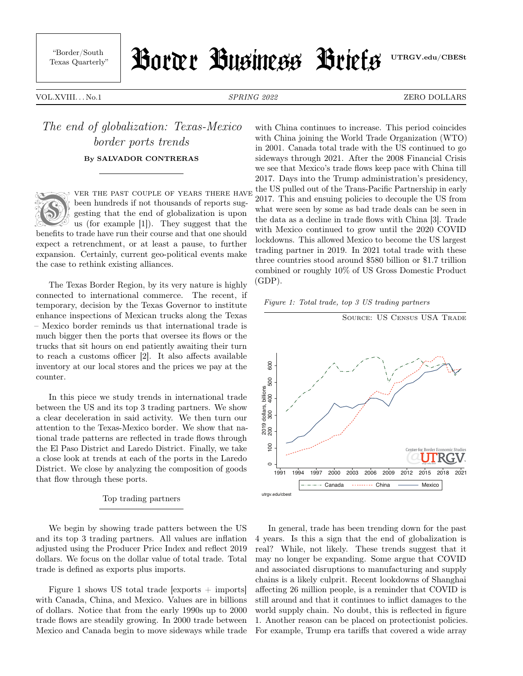"Border/South

# Texas Quarterly" | HOURY BUSINESS Brief's UTRGV.edu/CBESt

VOL.XVIII... No.1 SPRING 2022 SPRING 2022 ZERO DOLLARS

## The end of globalization: Texas-Mexico border ports trends By SALVADOR CONTRERAS



ver the past couple of years there have been hundreds if not thousands of reports suggesting that the end of globalization is upon us (for example [1]). They suggest that the

benefits to trade have run their course and that one should expect a retrenchment, or at least a pause, to further expansion. Certainly, current geo-political events make the case to rethink existing alliances.

The Texas Border Region, by its very nature is highly connected to international commerce. The recent, if temporary, decision by the Texas Governor to institute enhance inspections of Mexican trucks along the Texas – Mexico border reminds us that international trade is much bigger then the ports that oversee its flows or the trucks that sit hours on end patiently awaiting their turn to reach a customs officer [2]. It also affects available inventory at our local stores and the prices we pay at the counter.

In this piece we study trends in international trade between the US and its top 3 trading partners. We show a clear deceleration in said activity. We then turn our attention to the Texas-Mexico border. We show that national trade patterns are reflected in trade flows through the El Paso District and Laredo District. Finally, we take a close look at trends at each of the ports in the Laredo District. We close by analyzing the composition of goods that flow through these ports.

#### Top trading partners

We begin by showing trade patters between the US and its top 3 trading partners. All values are inflation adjusted using the Producer Price Index and reflect 2019 dollars. We focus on the dollar value of total trade. Total trade is defined as exports plus imports.

Figure 1 shows US total trade  $[$ exports  $+$  imports $]$ with Canada, China, and Mexico. Values are in billions of dollars. Notice that from the early 1990s up to 2000 trade flows are steadily growing. In 2000 trade between Mexico and Canada begin to move sideways while trade

with China continues to increase. This period coincides with China joining the World Trade Organization (WTO) in 2001. Canada total trade with the US continued to go sideways through 2021. After the 2008 Financial Crisis we see that Mexico's trade flows keep pace with China till 2017. Days into the Trump administration's presidency, the US pulled out of the Trans-Pacific Partnership in early 2017. This and ensuing policies to decouple the US from what were seen by some as bad trade deals can be seen in the data as a decline in trade flows with China [3]. Trade with Mexico continued to grow until the 2020 COVID lockdowns. This allowed Mexico to become the US largest trading partner in 2019. In 2021 total trade with these three countries stood around \$580 billion or \$1.7 trillion combined or roughly 10% of US Gross Domestic Product  $(GDP)$ .





In general, trade has been trending down for the past 4 years. Is this a sign that the end of globalization is real? While, not likely. These trends suggest that it may no longer be expanding. Some argue that COVID and associated disruptions to manufacturing and supply chains is a likely culprit. Recent lookdowns of Shanghai affecting 26 million people, is a reminder that COVID is still around and that it continues to inflict damages to the world supply chain. No doubt, this is reflected in figure 1. Another reason can be placed on protectionist policies. For example, Trump era tariffs that covered a wide array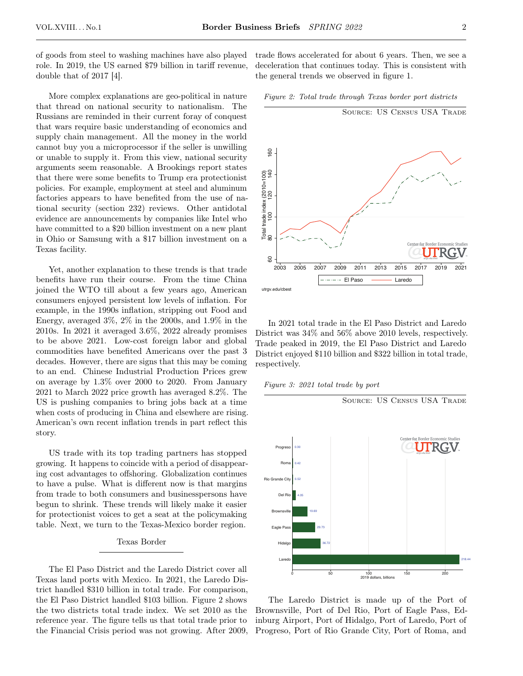of goods from steel to washing machines have also played role. In 2019, the US earned \$79 billion in tariff revenue, double that of 2017 [4].

More complex explanations are geo-political in nature that thread on national security to nationalism. The Russians are reminded in their current foray of conquest that wars require basic understanding of economics and supply chain management. All the money in the world cannot buy you a microprocessor if the seller is unwilling or unable to supply it. From this view, national security arguments seem reasonable. A Brookings report states that there were some benefits to Trump era protectionist policies. For example, employment at steel and aluminum factories appears to have benefited from the use of national security (section 232) reviews. Other antidotal evidence are announcements by companies like Intel who have committed to a \$20 billion investment on a new plant in Ohio or Samsung with a \$17 billion investment on a Texas facility.

Yet, another explanation to these trends is that trade benefits have run their course. From the time China joined the WTO till about a few years ago, American consumers enjoyed persistent low levels of inflation. For example, in the 1990s inflation, stripping out Food and Energy, averaged 3%, 2% in the 2000s, and 1.9% in the 2010s. In 2021 it averaged 3.6%, 2022 already promises to be above 2021. Low-cost foreign labor and global commodities have benefited Americans over the past 3 decades. However, there are signs that this may be coming to an end. Chinese Industrial Production Prices grew on average by 1.3% over 2000 to 2020. From January 2021 to March 2022 price growth has averaged 8.2%. The US is pushing companies to bring jobs back at a time when costs of producing in China and elsewhere are rising. American's own recent inflation trends in part reflect this story.

US trade with its top trading partners has stopped growing. It happens to coincide with a period of disappearing cost advantages to offshoring. Globalization continues to have a pulse. What is different now is that margins from trade to both consumers and businesspersons have begun to shrink. These trends will likely make it easier for protectionist voices to get a seat at the policymaking table. Next, we turn to the Texas-Mexico border region.

#### Texas Border

The El Paso District and the Laredo District cover all Texas land ports with Mexico. In 2021, the Laredo District handled \$310 billion in total trade. For comparison, the El Paso District handled \$103 billion. Figure 2 shows the two districts total trade index. We set 2010 as the reference year. The figure tells us that total trade prior to the Financial Crisis period was not growing. After 2009, trade flows accelerated for about 6 years. Then, we see a deceleration that continues today. This is consistent with the general trends we observed in figure 1.





In 2021 total trade in the El Paso District and Laredo District was 34% and 56% above 2010 levels, respectively. Trade peaked in 2019, the El Paso District and Laredo District enjoyed \$110 billion and \$322 billion in total trade, respectively.

Figure 3: 2021 total trade by port



The Laredo District is made up of the Port of Brownsville, Port of Del Rio, Port of Eagle Pass, Edinburg Airport, Port of Hidalgo, Port of Laredo, Port of Progreso, Port of Rio Grande City, Port of Roma, and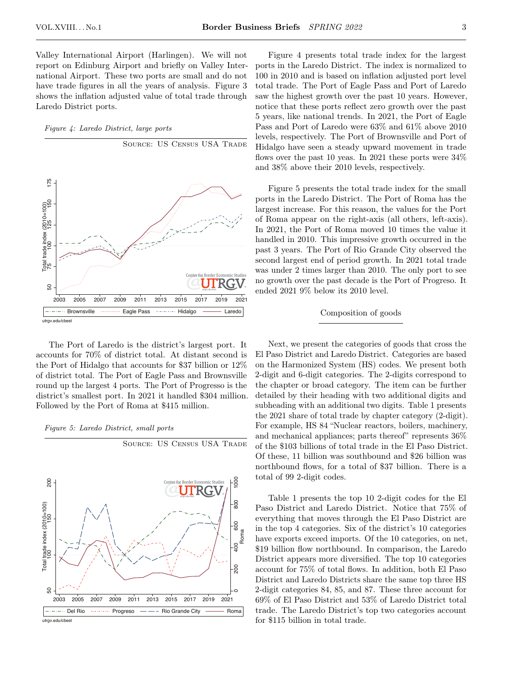Valley International Airport (Harlingen). We will not report on Edinburg Airport and briefly on Valley International Airport. These two ports are small and do not have trade figures in all the years of analysis. Figure 3 shows the inflation adjusted value of total trade through Laredo District ports.

Figure 4: Laredo District, large ports



The Port of Laredo is the district's largest port. It accounts for 70% of district total. At distant second is the Port of Hidalgo that accounts for \$37 billion or 12% of district total. The Port of Eagle Pass and Brownsville round up the largest 4 ports. The Port of Progresso is the district's smallest port. In 2021 it handled \$304 million. Followed by the Port of Roma at \$415 million.

Figure 5: Laredo District, small ports



SOURCE: US CENSUS USA TRADE

utrgv.edu/cbest

Figure 4 presents total trade index for the largest ports in the Laredo District. The index is normalized to 100 in 2010 and is based on inflation adjusted port level total trade. The Port of Eagle Pass and Port of Laredo saw the highest growth over the past 10 years. However,

notice that these ports reflect zero growth over the past 5 years, like national trends. In 2021, the Port of Eagle Pass and Port of Laredo were 63% and 61% above 2010 levels, respectively. The Port of Brownsville and Port of Hidalgo have seen a steady upward movement in trade flows over the past 10 yeas. In 2021 these ports were 34% and 38% above their 2010 levels, respectively.

Figure 5 presents the total trade index for the small ports in the Laredo District. The Port of Roma has the largest increase. For this reason, the values for the Port of Roma appear on the right-axis (all others, left-axis). In 2021, the Port of Roma moved 10 times the value it handled in 2010. This impressive growth occurred in the past 3 years. The Port of Rio Grande City observed the second largest end of period growth. In 2021 total trade was under 2 times larger than 2010. The only port to see no growth over the past decade is the Port of Progreso. It ended 2021 9% below its 2010 level.

### Composition of goods

Next, we present the categories of goods that cross the El Paso District and Laredo District. Categories are based on the Harmonized System (HS) codes. We present both 2-digit and 6-digit categories. The 2-digits correspond to the chapter or broad category. The item can be further detailed by their heading with two additional digits and subheading with an additional two digits. Table 1 presents the 2021 share of total trade by chapter category (2-digit). For example, HS 84 "Nuclear reactors, boilers, machinery, and mechanical appliances; parts thereof" represents 36% of the \$103 billions of total trade in the El Paso District. Of these, 11 billion was southbound and \$26 billion was northbound flows, for a total of \$37 billion. There is a total of 99 2-digit codes.

Table 1 presents the top 10 2-digit codes for the El Paso District and Laredo District. Notice that 75% of everything that moves through the El Paso District are in the top 4 categories. Six of the district's 10 categories have exports exceed imports. Of the 10 categories, on net, \$19 billion flow northbound. In comparison, the Laredo District appears more diversified. The top 10 categories account for 75% of total flows. In addition, both El Paso District and Laredo Districts share the same top three HS 2-digit categories 84, 85, and 87. These three account for 69% of El Paso District and 53% of Laredo District total trade. The Laredo District's top two categories account for \$115 billion in total trade.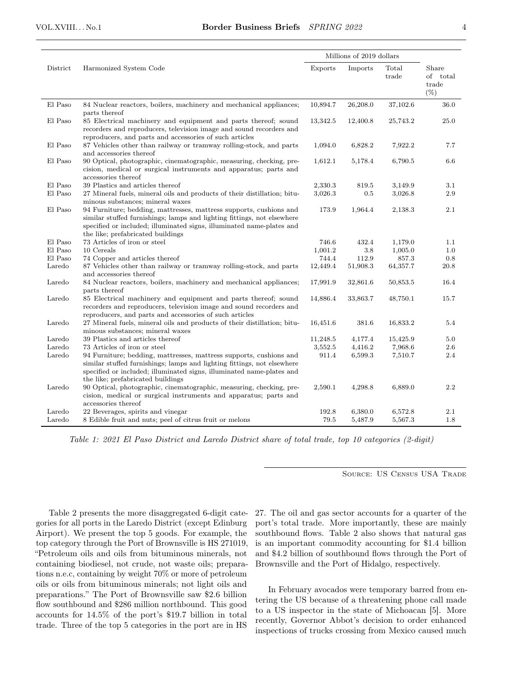|          |                                                                                                                                                                                                                                                             | Millions of 2019 dollars |          |                |                                      |
|----------|-------------------------------------------------------------------------------------------------------------------------------------------------------------------------------------------------------------------------------------------------------------|--------------------------|----------|----------------|--------------------------------------|
| District | Harmonized System Code                                                                                                                                                                                                                                      | Exports                  | Imports  | Total<br>trade | Share<br>of total<br>trade<br>$(\%)$ |
| El Paso  | 84 Nuclear reactors, boilers, machinery and mechanical appliances;<br>parts thereof                                                                                                                                                                         | 10,894.7                 | 26,208.0 | 37,102.6       | 36.0                                 |
| El Paso  | 85 Electrical machinery and equipment and parts thereof; sound<br>recorders and reproducers, television image and sound recorders and<br>reproducers, and parts and accessories of such articles                                                            | 13,342.5                 | 12,400.8 | 25,743.2       | 25.0                                 |
| El Paso  | 87 Vehicles other than railway or tramway rolling-stock, and parts<br>and accessories thereof                                                                                                                                                               | 1,094.0                  | 6,828.2  | 7,922.2        | 7.7                                  |
| El Paso  | 90 Optical, photographic, cinematographic, measuring, checking, pre-<br>cision, medical or surgical instruments and apparatus; parts and<br>accessories thereof                                                                                             | 1,612.1                  | 5,178.4  | 6,790.5        | 6.6                                  |
| El Paso  | 39 Plastics and articles thereof                                                                                                                                                                                                                            | 2,330.3                  | 819.5    | 3,149.9        | 3.1                                  |
| El Paso  | 27 Mineral fuels, mineral oils and products of their distillation; bitu-<br>minous substances; mineral waxes                                                                                                                                                | 3,026.3                  | 0.5      | 3,026.8        | 2.9                                  |
| El Paso  | 94 Furniture; bedding, mattresses, mattress supports, cushions and<br>similar stuffed furnishings; lamps and lighting fittings, not elsewhere<br>specified or included; illuminated signs, illuminated name-plates and<br>the like; prefabricated buildings | 173.9                    | 1,964.4  | 2,138.3        | 2.1                                  |
| El Paso  | 73 Articles of iron or steel                                                                                                                                                                                                                                | 746.6                    | 432.4    | 1,179.0        | 1.1                                  |
| El Paso  | 10 Cereals                                                                                                                                                                                                                                                  | 1,001.2                  | 3.8      | 1,005.0        | 1.0                                  |
| El Paso  | 74 Copper and articles thereof                                                                                                                                                                                                                              | 744.4                    | 112.9    | 857.3          | 0.8                                  |
| Laredo   | 87 Vehicles other than railway or tramway rolling-stock, and parts<br>and accessories thereof                                                                                                                                                               | 12,449.4                 | 51,908.3 | 64,357.7       | 20.8                                 |
| Laredo   | 84 Nuclear reactors, boilers, machinery and mechanical appliances;<br>parts thereof                                                                                                                                                                         | 17,991.9                 | 32,861.6 | 50,853.5       | 16.4                                 |
| Laredo   | 85 Electrical machinery and equipment and parts thereof; sound<br>recorders and reproducers, television image and sound recorders and<br>reproducers, and parts and accessories of such articles                                                            | 14,886.4                 | 33,863.7 | 48,750.1       | 15.7                                 |
| Laredo   | 27 Mineral fuels, mineral oils and products of their distillation; bitu-<br>minous substances; mineral waxes                                                                                                                                                | 16,451.6                 | 381.6    | 16,833.2       | 5.4                                  |
| Laredo   | 39 Plastics and articles thereof                                                                                                                                                                                                                            | 11,248.5                 | 4,177.4  | 15,425.9       | 5.0                                  |
| Laredo   | 73 Articles of iron or steel                                                                                                                                                                                                                                | 3,552.5                  | 4,416.2  | 7,968.6        | $2.6\,$                              |
| Laredo   | 94 Furniture; bedding, mattresses, mattress supports, cushions and<br>similar stuffed furnishings; lamps and lighting fittings, not elsewhere<br>specified or included; illuminated signs, illuminated name-plates and<br>the like; prefabricated buildings | 911.4                    | 6,599.3  | 7,510.7        | 2.4                                  |
| Laredo   | 90 Optical, photographic, cinematographic, measuring, checking, pre-<br>cision, medical or surgical instruments and apparatus; parts and<br>accessories thereof                                                                                             | 2,590.1                  | 4,298.8  | 6,889.0        | 2.2                                  |
| Laredo   | 22 Beverages, spirits and vinegar                                                                                                                                                                                                                           | 192.8                    | 6,380.0  | 6,572.8        | 2.1                                  |
| Laredo   | 8 Edible fruit and nuts; peel of citrus fruit or melons                                                                                                                                                                                                     | 79.5                     | 5,487.9  | 5,567.3        | 1.8                                  |

Table 1: 2021 El Paso District and Laredo District share of total trade, top 10 categories (2-digit)

SOURCE: US CENSUS USA TRADE

Table 2 presents the more disaggregated 6-digit categories for all ports in the Laredo District (except Edinburg Airport). We present the top 5 goods. For example, the top category through the Port of Brownsville is HS 271019, "Petroleum oils and oils from bituminous minerals, not containing biodiesel, not crude, not waste oils; preparations n.e.c, containing by weight 70% or more of petroleum oils or oils from bituminous minerals; not light oils and preparations." The Port of Brownsville saw \$2.6 billion flow southbound and \$286 million northbound. This good accounts for 14.5% of the port's \$19.7 billion in total trade. Three of the top 5 categories in the port are in HS

27. The oil and gas sector accounts for a quarter of the port's total trade. More importantly, these are mainly southbound flows. Table 2 also shows that natural gas is an important commodity accounting for \$1.4 billion and \$4.2 billion of southbound flows through the Port of Brownsville and the Port of Hidalgo, respectively.

In February avocados were temporary barred from entering the US because of a threatening phone call made to a US inspector in the state of Michoacan [5]. More recently, Governor Abbot's decision to order enhanced inspections of trucks crossing from Mexico caused much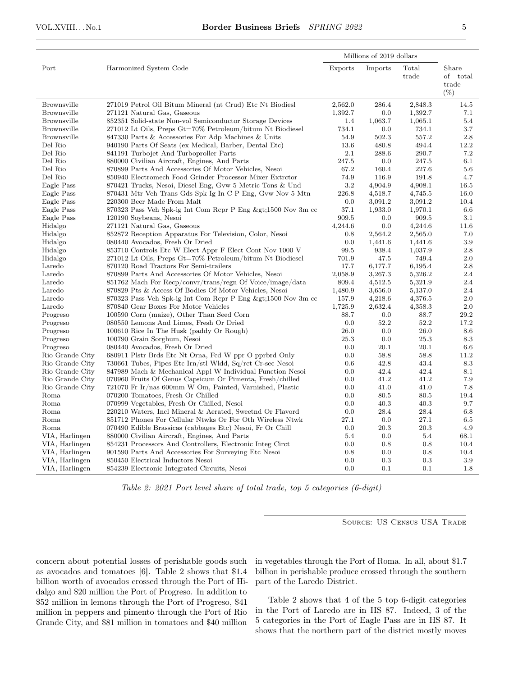|                    |                                                           | Millions of 2019 dollars |         |                |                                      |
|--------------------|-----------------------------------------------------------|--------------------------|---------|----------------|--------------------------------------|
| Port               | Harmonized System Code                                    | Exports                  | Imports | Total<br>trade | Share<br>of total<br>trade<br>$(\%)$ |
| Brownsville        | 271019 Petrol Oil Bitum Mineral (nt Crud) Etc Nt Biodiesl | 2,562.0                  | 286.4   | 2,848.3        | 14.5                                 |
| Brownsville        | 271121 Natural Gas, Gaseous                               | 1,392.7                  | 0.0     | 1,392.7        | 7.1                                  |
| Brownsville        | 852351 Solid-state Non-vol Semiconductor Storage Devices  | 1.4                      | 1,063.7 | 1,065.1        | 5.4                                  |
| <b>Brownsville</b> | 271012 Lt Oils, Preps Gt=70% Petroleum/bitum Nt Biodiesel | 734.1                    | 0.0     | 734.1          | 3.7                                  |
| Brownsville        | 847330 Parts & Accessories For Adp Machines & Units       | 54.9                     | 502.3   | 557.2          | 2.8                                  |
| Del Rio            | 940190 Parts Of Seats (ex Medical, Barber, Dental Etc)    | 13.6                     | 480.8   | 494.4          | 12.2                                 |
| Del Rio            | 841191 Turbojet And Turboproller Parts                    | 2.1                      | 288.6   | 290.7          | 7.2                                  |
| Del Rio            | 880000 Civilian Aircraft, Engines, And Parts              | 247.5                    | 0.0     | 247.5          | 6.1                                  |
| Del Rio            | 870899 Parts And Accessories Of Motor Vehicles, Nesoi     | 67.2                     | 160.4   | 227.6          | 5.6                                  |
| Del Rio            | 850940 Electromech Food Grinder Processor Mixer Extrctor  | 74.9                     | 116.9   | 191.8          | 4.7                                  |
| Eagle Pass         | 870421 Trucks, Nesoi, Diesel Eng, Gvw 5 Metric Tons & Und | 3.2                      | 4,904.9 | 4,908.1        | 16.5                                 |
| Eagle Pass         | 870431 Mtr Veh Trans Gds Spk Ig In C P Eng, Gvw Nov 5 Mtn | 226.8                    | 4,518.7 | 4,745.5        | 16.0                                 |
| Eagle Pass         | 220300 Beer Made From Malt                                | 0.0                      | 3,091.2 | 3,091.2        | 10.4                                 |
| Eagle Pass         | 870323 Pass Veh Spk-ig Int Com Rcpr P Eng >1500 Nov 3m cc | 37.1                     | 1,933.0 | 1,970.1        | 6.6                                  |
| Eagle Pass         | 120190 Soybeans, Nesoi                                    | 909.5                    | 0.0     | 909.5          | 3.1                                  |
| Hidalgo            | 271121 Natural Gas, Gaseous                               | 4,244.6                  | 0.0     | 4,244.6        | 11.6                                 |
| Hidalgo            | 852872 Reception Apparatus For Television, Color, Nesoi   | 0.8                      | 2,564.2 | 2,565.0        | 7.0                                  |
| Hidalgo            | 080440 Avocados, Fresh Or Dried                           | 0.0                      | 1,441.6 | 1,441.6        | 3.9                                  |
| Hidalgo            | 853710 Controls Etc W Elect Appr F Elect Cont Nov 1000 V  | 99.5                     | 938.4   | 1,037.9        | 2.8                                  |
| Hidalgo            | 271012 Lt Oils, Preps Gt=70% Petroleum/bitum Nt Biodiesel | 701.9                    | 47.5    | 749.4          | 2.0                                  |
| Laredo             | 870120 Road Tractors For Semi-trailers                    | 17.7                     | 6,177.7 | 6,195.4        | 2.8                                  |
| Laredo             | 870899 Parts And Accessories Of Motor Vehicles, Nesoi     | 2,058.9                  | 3,267.3 | 5,326.2        | 2.4                                  |
| Laredo             | 851762 Mach For Recp/convr/trans/regn Of Voice/image/data | 809.4                    | 4,512.5 | 5,321.9        | 2.4                                  |
| Laredo             | 870829 Pts & Access Of Bodies Of Motor Vehicles, Nesoi    | 1,480.9                  | 3,656.0 | 5,137.0        | 2.4                                  |
| Laredo             | 870323 Pass Veh Spk-ig Int Com Rcpr P Eng >1500 Nov 3m cc | 157.9                    | 4,218.6 | 4,376.5        | 2.0                                  |
| Laredo             | 870840 Gear Boxes For Motor Vehicles                      | 1,725.9                  | 2,632.4 | 4,358.3        | 2.0                                  |
| Progreso           | 100590 Corn (maize), Other Than Seed Corn                 | 88.7                     | 0.0     | 88.7           | 29.2                                 |
| Progreso           | 080550 Lemons And Limes, Fresh Or Dried                   | 0.0                      | 52.2    | 52.2           | 17.2                                 |
| Progreso           | 100610 Rice In The Husk (paddy Or Rough)                  | 26.0                     | 0.0     | 26.0           | 8.6                                  |
| Progreso           | 100790 Grain Sorghum, Nesoi                               | 25.3                     | 0.0     | 25.3           | 8.3                                  |
| Progreso           | 080440 Avocados, Fresh Or Dried                           | 0.0                      | 20.1    | 20.1           | 6.6                                  |
| Rio Grande City    | 680911 Plstr Brds Etc Nt Orna, Fed W ppr O pprbrd Only    | 0.0                      | 58.8    | 58.8           | 11.2                                 |
| Rio Grande City    | 730661 Tubes, Pipes Etc Irn/stl Wldd, Sq/rct Cr-sec Nesoi | 0.6                      | 42.8    | 43.4           | 8.3                                  |
| Rio Grande City    | 847989 Mach & Mechanical Appl W Individual Function Nesoi | 0.0                      | 42.4    | 42.4           | 8.1                                  |
| Rio Grande City    | 070960 Fruits Of Genus Capsicum Or Pimenta, Fresh/chilled | 0.0                      | 41.2    | 41.2           | 7.9                                  |
| Rio Grande City    | 721070 Fr Ir/nas 600mm W Om, Painted, Varnished, Plastic  | 0.0                      | 41.0    | 41.0           | 7.8                                  |
| Roma               | 070200 Tomatoes, Fresh Or Chilled                         | 0.0                      | 80.5    | 80.5           | 19.4                                 |
| Roma               | 070999 Vegetables, Fresh Or Chilled, Nesoi                | 0.0                      | 40.3    | 40.3           | 9.7                                  |
| Roma               | 220210 Waters, Incl Mineral & Aerated, Sweetnd Or Flavord | 0.0                      | 28.4    | 28.4           | 6.8                                  |
| Roma               | 851712 Phones For Cellular Ntwks Or For Oth Wireless Ntwk | 27.1                     | 0.0     | 27.1           | 6.5                                  |
| Roma               | 070490 Edible Brassicas (cabbages Etc) Nesoi, Fr Or Chill | 0.0                      | 20.3    | 20.3           | 4.9                                  |
| VIA, Harlingen     | 880000 Civilian Aircraft, Engines, And Parts              | 5.4                      | 0.0     | 5.4            | 68.1                                 |
| VIA, Harlingen     | 854231 Processors And Controllers, Electronic Integ Circt | 0.0                      | 0.8     | 0.8            | 10.4                                 |
| VIA, Harlingen     | 901590 Parts And Accessories For Surveying Etc Nesoi      | 0.8                      | 0.0     | 0.8            | 10.4                                 |
| VIA, Harlingen     | 850450 Electrical Inductors Nesoi                         | 0.0                      | 0.3     | 0.3            | 3.9                                  |
| VIA, Harlingen     | 854239 Electronic Integrated Circuits, Nesoi              | 0.0                      | 0.1     | 0.1            | 1.8                                  |

Table 2: 2021 Port level share of total trade, top 5 categories (6-digit)

SOURCE: US CENSUS USA TRADE

concern about potential losses of perishable goods such as avocados and tomatoes [6]. Table 2 shows that \$1.4 billion worth of avocados crossed through the Port of Hidalgo and \$20 million the Port of Progreso. In addition to \$52 million in lemons through the Port of Progreso, \$41 million in peppers and pimento through the Port of Rio Grande City, and \$81 million in tomatoes and \$40 million

in vegetables through the Port of Roma. In all, about \$1.7 billion in perishable produce crossed through the southern part of the Laredo District.

Table 2 shows that 4 of the 5 top 6-digit categories in the Port of Laredo are in HS 87. Indeed, 3 of the 5 categories in the Port of Eagle Pass are in HS 87. It shows that the northern part of the district mostly moves